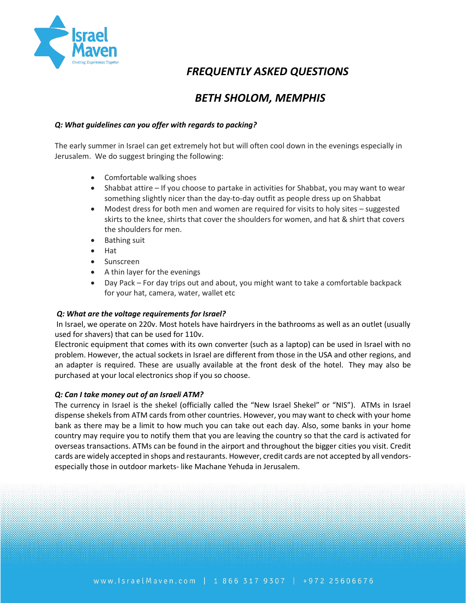

# *FREQUENTLY ASKED QUESTIONS*

# *BETH SHOLOM, MEMPHIS*

## *Q: What guidelines can you offer with regards to packing?*

The early summer in Israel can get extremely hot but will often cool down in the evenings especially in Jerusalem. We do suggest bringing the following:

- Comfortable walking shoes
- Shabbat attire If you choose to partake in activities for Shabbat, you may want to wear something slightly nicer than the day-to-day outfit as people dress up on Shabbat
- Modest dress for both men and women are required for visits to holy sites suggested skirts to the knee, shirts that cover the shoulders for women, and hat & shirt that covers the shoulders for men.
- Bathing suit
- Hat
- Sunscreen
- A thin layer for the evenings
- Day Pack For day trips out and about, you might want to take a comfortable backpack for your hat, camera, water, wallet etc

#### *Q: What are the voltage requirements for Israel?*

In Israel, we operate on 220v. Most hotels have hairdryers in the bathrooms as well as an outlet (usually used for shavers) that can be used for 110v.

Electronic equipment that comes with its own converter (such as a laptop) can be used in Israel with no problem. However, the actual sockets in Israel are different from those in the USA and other regions, and an adapter is required. These are usually available at the front desk of the hotel. They may also be purchased at your local electronics shop if you so choose.

#### *Q: Can I take money out of an Israeli ATM?*

The currency in Israel is the shekel (officially called the "New Israel Shekel" or "NIS"). ATMs in Israel dispense shekels from ATM cards from other countries. However, you may want to check with your home bank as there may be a limit to how much you can take out each day. Also, some banks in your home country may require you to notify them that you are leaving the country so that the card is activated for overseas transactions. ATMs can be found in the airport and throughout the bigger cities you visit. Credit cards are widely accepted in shops and restaurants. However, credit cards are not accepted by all vendorsespecially those in outdoor markets- like Machane Yehuda in Jerusalem.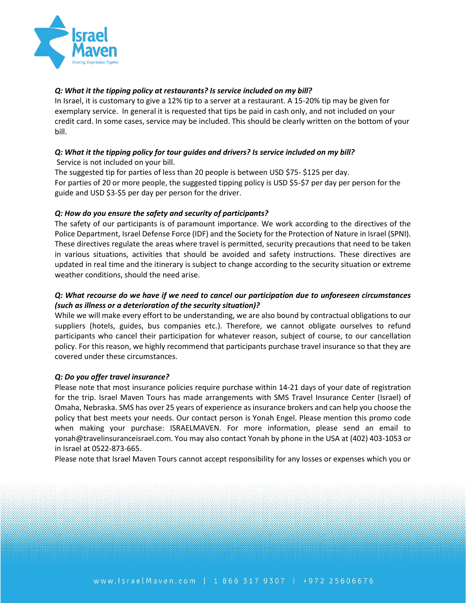

### *Q: What it the tipping policy at restaurants? Is service included on my bill?*

In Israel, it is customary to give a 12% tip to a server at a restaurant. A 15-20% tip may be given for exemplary service. In general it is requested that tips be paid in cash only, and not included on your credit card. In some cases, service may be included. This should be clearly written on the bottom of your bill.

## *Q: What it the tipping policy for tour guides and drivers? Is service included on my bill?* Service is not included on your bill.

The suggested tip for parties of less than 20 people is between USD \$75- \$125 per day. For parties of 20 or more people, the suggested tipping policy is USD \$5-\$7 per day per person for the guide and USD \$3-\$5 per day per person for the driver.

## *Q: How do you ensure the safety and security of participants?*

The safety of our participants is of paramount importance. We work according to the directives of the Police Department, Israel Defense Force (IDF) and the Society for the Protection of Nature in Israel (SPNI). These directives regulate the areas where travel is permitted, security precautions that need to be taken in various situations, activities that should be avoided and safety instructions. These directives are updated in real time and the itinerary is subject to change according to the security situation or extreme weather conditions, should the need arise.

## *Q: What recourse do we have if we need to cancel our participation due to unforeseen circumstances (such as illness or a deterioration of the security situation)?*

While we will make every effort to be understanding, we are also bound by contractual obligations to our suppliers (hotels, guides, bus companies etc.). Therefore, we cannot obligate ourselves to refund participants who cancel their participation for whatever reason, subject of course, to our cancellation policy. For this reason, we highly recommend that participants purchase travel insurance so that they are covered under these circumstances.

#### *Q: Do you offer travel insurance?*

Please note that most insurance policies require purchase within 14-21 days of your date of registration for the trip. Israel Maven Tours has made arrangements with SMS Travel Insurance Center (Israel) of Omaha, Nebraska. SMS has over 25 years of experience as insurance brokers and can help you choose the policy that best meets your needs. Our contact person is Yonah Engel. Please mention this promo code when making your purchase: ISRAELMAVEN. For more information, please send an email to yonah@travelinsuranceisrael.com. You may also contact Yonah by phone in the USA at (402) 403-1053 or in Israel at 0522-873-665.

Please note that Israel Maven Tours cannot accept responsibility for any losses or expenses which you or